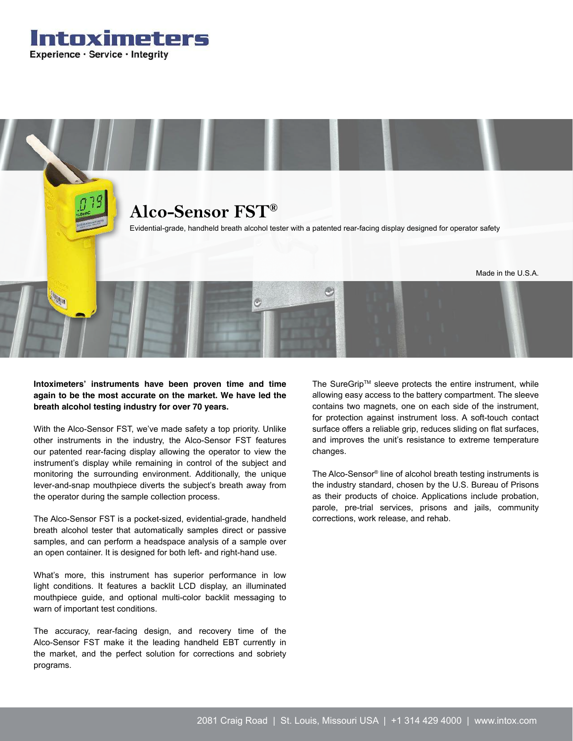Intoximeters Experience · Service · Integrity



**Intoximeters' instruments have been proven time and time again to be the most accurate on the market. We have led the breath alcohol testing industry for over 70 years.** 

With the Alco-Sensor FST, we've made safety a top priority. Unlike other instruments in the industry, the Alco-Sensor FST features our patented rear-facing display allowing the operator to view the instrument's display while remaining in control of the subject and monitoring the surrounding environment. Additionally, the unique lever-and-snap mouthpiece diverts the subject's breath away from the operator during the sample collection process.

The Alco-Sensor FST is a pocket-sized, evidential-grade, handheld breath alcohol tester that automatically samples direct or passive samples, and can perform a headspace analysis of a sample over an open container. It is designed for both left- and right-hand use.

What's more, this instrument has superior performance in low light conditions. It features a backlit LCD display, an illuminated mouthpiece guide, and optional multi-color backlit messaging to warn of important test conditions.

The accuracy, rear-facing design, and recovery time of the Alco-Sensor FST make it the leading handheld EBT currently in the market, and the perfect solution for corrections and sobriety programs.

The SureGrip™ sleeve protects the entire instrument, while allowing easy access to the battery compartment. The sleeve contains two magnets, one on each side of the instrument, for protection against instrument loss. A soft-touch contact surface offers a reliable grip, reduces sliding on flat surfaces, and improves the unit's resistance to extreme temperature changes.

The Alco-Sensor® line of alcohol breath testing instruments is the industry standard, chosen by the U.S. Bureau of Prisons as their products of choice. Applications include probation, parole, pre-trial services, prisons and jails, community corrections, work release, and rehab.